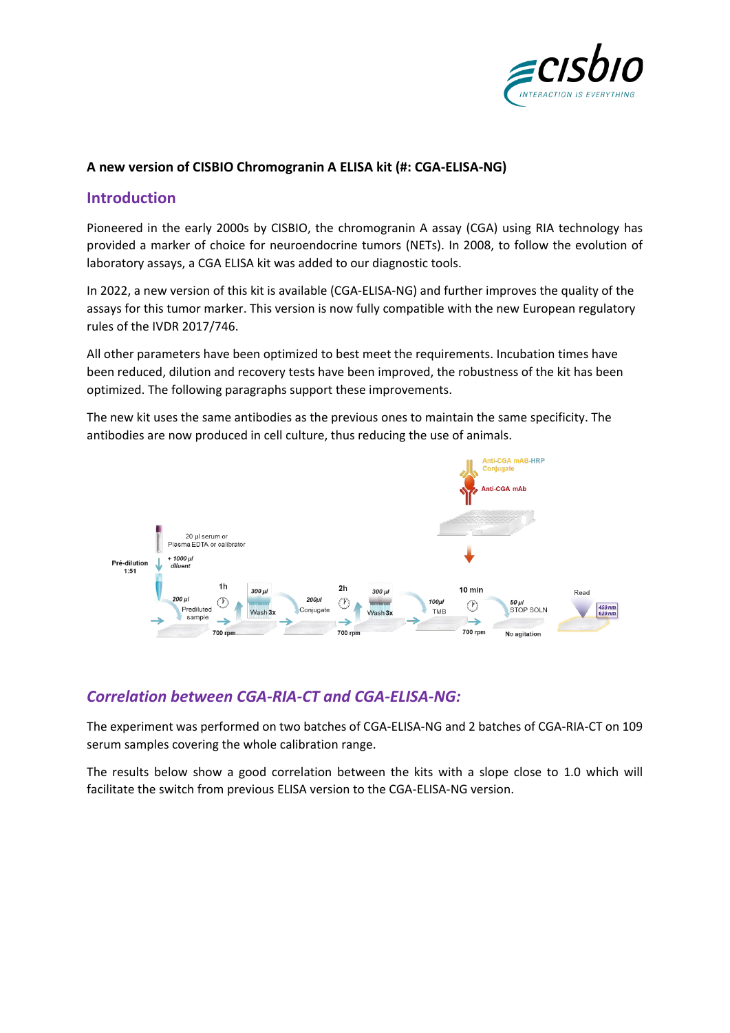

### **A new version of CISBIO Chromogranin A ELISA kit (#: CGA-ELISA-NG)**

### **Introduction**

Pioneered in the early 2000s by CISBIO, the chromogranin A assay (CGA) using RIA technology has provided a marker of choice for neuroendocrine tumors (NETs). In 2008, to follow the evolution of laboratory assays, a CGA ELISA kit was added to our diagnostic tools.

In 2022, a new version of this kit is available (CGA-ELISA-NG) and further improves the quality of the assays for this tumor marker. This version is now fully compatible with the new European regulatory rules of the IVDR 2017/746.

All other parameters have been optimized to best meet the requirements. Incubation times have been reduced, dilution and recovery tests have been improved, the robustness of the kit has been optimized. The following paragraphs support these improvements.

The new kit uses the same antibodies as the previous ones to maintain the same specificity. The antibodies are now produced in cell culture, thus reducing the use of animals.



# *Correlation between CGA-RIA-CT and CGA-ELISA-NG:*

The experiment was performed on two batches of CGA-ELISA-NG and 2 batches of CGA-RIA-CT on 109 serum samples covering the whole calibration range.

The results below show a good correlation between the kits with a slope close to 1.0 which will facilitate the switch from previous ELISA version to the CGA-ELISA-NG version.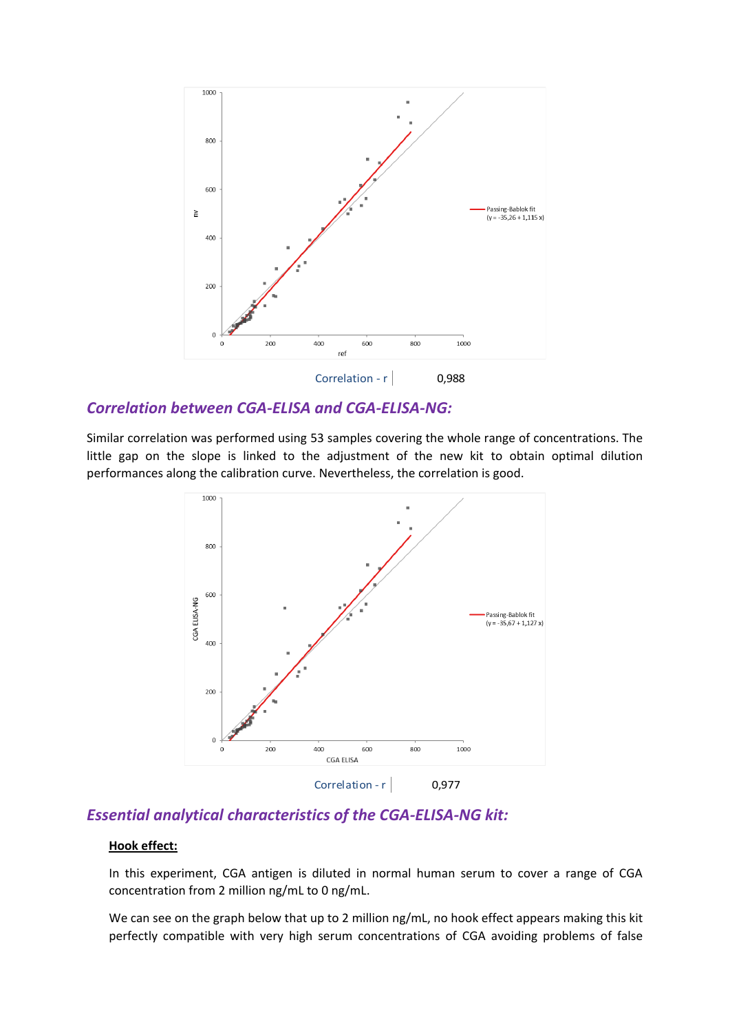

### *Correlation between CGA-ELISA and CGA-ELISA-NG:*

Similar correlation was performed using 53 samples covering the whole range of concentrations. The little gap on the slope is linked to the adjustment of the new kit to obtain optimal dilution performances along the calibration curve. Nevertheless, the correlation is good.



## *Essential analytical characteristics of the CGA-ELISA-NG kit:*

### **Hook effect:**

In this experiment, CGA antigen is diluted in normal human serum to cover a range of CGA concentration from 2 million ng/mL to 0 ng/mL.

We can see on the graph below that up to 2 million ng/mL, no hook effect appears making this kit perfectly compatible with very high serum concentrations of CGA avoiding problems of false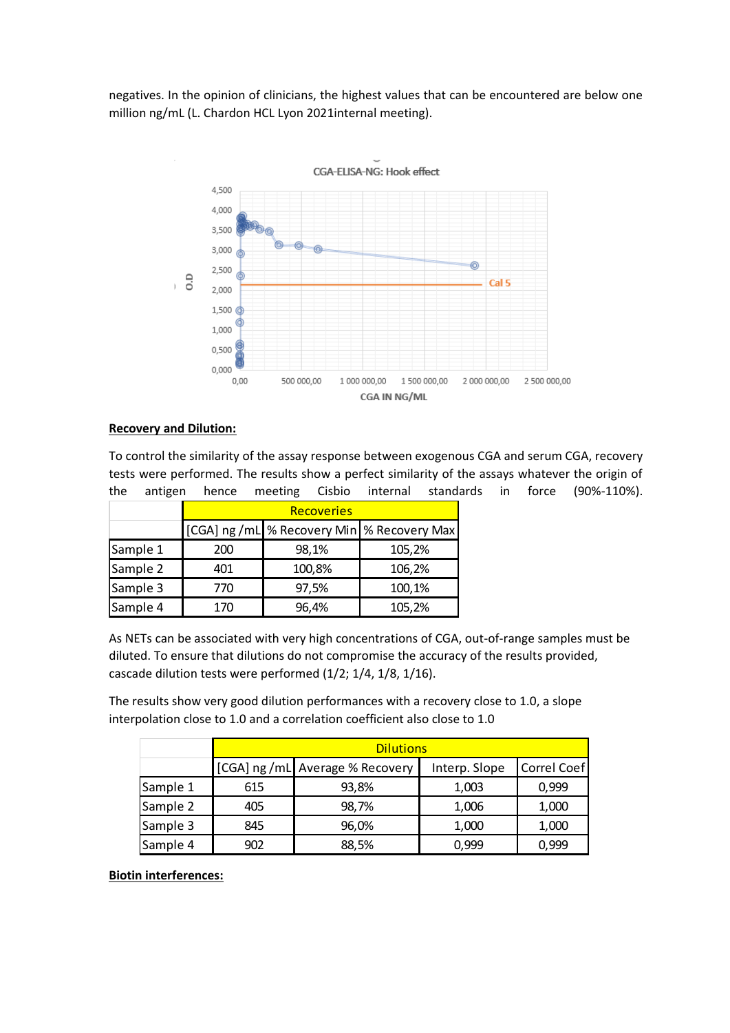negatives. In the opinion of clinicians, the highest values that can be encountered are below one million ng/mL (L. Chardon HCL Lyon 2021internal meeting).



#### **Recovery and Dilution:**

To control the similarity of the assay response between exogenous CGA and serum CGA, recovery tests were performed. The results show a perfect similarity of the assays whatever the origin of the antigen hence meeting Cisbio internal standards in force (90%-110%).

|          | <b>Recoveries</b> |        |                                            |  |  |  |
|----------|-------------------|--------|--------------------------------------------|--|--|--|
|          |                   |        | [CGA] ng /mL % Recovery Min % Recovery Max |  |  |  |
| Sample 1 | 200               | 98,1%  | 105,2%                                     |  |  |  |
| Sample 2 | 401               | 100,8% | 106,2%                                     |  |  |  |
| Sample 3 | 770               | 97,5%  | 100,1%                                     |  |  |  |
| Sample 4 | 170               | 96,4%  | 105,2%                                     |  |  |  |

As NETs can be associated with very high concentrations of CGA, out-of-range samples must be diluted. To ensure that dilutions do not compromise the accuracy of the results provided, cascade dilution tests were performed (1/2; 1/4, 1/8, 1/16).

The results show very good dilution performances with a recovery close to 1.0, a slope interpolation close to 1.0 and a correlation coefficient also close to 1.0

|          | <b>Dilutions</b> |                                |               |                    |  |  |
|----------|------------------|--------------------------------|---------------|--------------------|--|--|
|          |                  | [CGA] ng/mL Average % Recovery | Interp. Slope | <b>Correl Coef</b> |  |  |
| Sample 1 | 615              | 93,8%                          | 1,003         | 0,999              |  |  |
| Sample 2 | 405              | 98,7%                          | 1,006         | 1,000              |  |  |
| Sample 3 | 845              | 96,0%                          | 1,000         | 1,000              |  |  |
| Sample 4 | 902              | 88,5%                          | 0,999         | 0,999              |  |  |

**Biotin interferences:**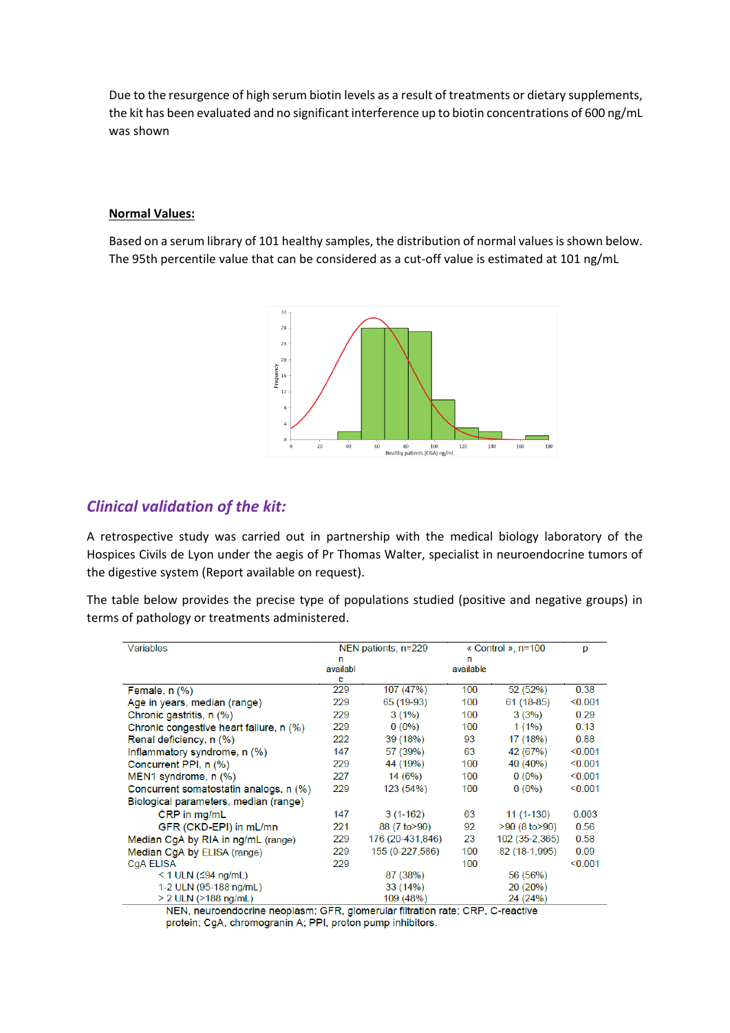Due to the resurgence of high serum biotin levels as a result of treatments or dietary supplements, the kit has been evaluated and no significant interference up to biotin concentrations of 600 ng/mL was shown

#### **Normal Values:**

Based on a serum library of 101 healthy samples, the distribution of normal values is shown below. The 95th percentile value that can be considered as a cut-off value is estimated at 101 ng/mL



## *Clinical validation of the kit:*

A retrospective study was carried out in partnership with the medical biology laboratory of the Hospices Civils de Lyon under the aegis of Pr Thomas Walter, specialist in neuroendocrine tumors of the digestive system (Report available on request).

The table below provides the precise type of populations studied (positive and negative groups) in terms of pathology or treatments administered.

| Variables                                                                     | NEN patients, n=229 |                  | « Control », n=100 |                     | p       |  |  |  |
|-------------------------------------------------------------------------------|---------------------|------------------|--------------------|---------------------|---------|--|--|--|
|                                                                               | n                   |                  | n                  |                     |         |  |  |  |
|                                                                               | availabl            |                  | available          |                     |         |  |  |  |
|                                                                               | e                   |                  |                    |                     |         |  |  |  |
| Female, $n$ $(\%)$                                                            | 229                 | 107 (47%)        | 100                | 52 (52%)            | 0.38    |  |  |  |
| Age in years, median (range)                                                  | 229                 | 65 (19-93)       | 100                | $61(18-85)$         | < 0.001 |  |  |  |
| Chronic gastritis, n (%)                                                      | 229                 | $3(1\%)$         | 100                | 3(3%)               | 0.29    |  |  |  |
| Chronic congestive heart failure, n (%)                                       | 229                 | $0(0\%)$         | 100                | $1(1\%)$            | 0.13    |  |  |  |
| Renal deficiency, n (%)                                                       | 222                 | 39 (18%)         | 93                 | 17(18%)             | 0.88    |  |  |  |
| Inflammatory syndrome, $n$ (%)                                                | 147                 | 57 (39%)         | 63                 | 42 (67%)            | < 0.001 |  |  |  |
| Concurrent PPI, n (%)                                                         | 229                 | 44 (19%)         | 100                | 40 (40%)            | < 0.001 |  |  |  |
| MEN1 syndrome, n (%)                                                          | 227                 | 14(6%)           | 100                | $0(0\%)$            | < 0.001 |  |  |  |
| Concurrent somatostatin analogs, n (%)                                        | 229                 | 123 (54%)        | 100                | $0(0\%)$            | < 0.001 |  |  |  |
| Biological parameters, median (range)                                         |                     |                  |                    |                     |         |  |  |  |
| CRP in mg/mL                                                                  | 147                 | $3(1-162)$       | 63                 | $11(1-130)$         | 0.003   |  |  |  |
| GFR (CKD-EPI) in mL/mn                                                        | 221                 | 88 (7 to > 90)   | 92                 | $>90$ (8 to $>90$ ) | 0.56    |  |  |  |
| Median CgA by RIA in ng/mL (range)                                            | 229                 | 176 (20-431,846) | 23                 | 102 (35-2,365)      | 0.58    |  |  |  |
| Median CgA by ELISA (range)                                                   | 229                 | 155 (0-227,586)  | 100                | 82 (18-1,995)       | 0.09    |  |  |  |
| CgA ELISA                                                                     | 229                 |                  | 100                |                     | < 0.001 |  |  |  |
| $<$ 1 ULN ( $\leq$ 94 ng/mL)                                                  |                     | 87 (38%)         |                    | 56 (56%)            |         |  |  |  |
| 1-2 ULN (95-188 ng/mL)                                                        |                     | 33(14%)          |                    | 20 (20%)            |         |  |  |  |
| > 2 ULN (>188 ng/mL)                                                          |                     | 109 (48%)        |                    | 24 (24%)            |         |  |  |  |
| NEN neuroandocrine neonlasm: CER, glomerular filtration rate: CRP, C-reactive |                     |                  |                    |                     |         |  |  |  |

FR, glomerular filtration rate; CRP, C-reactive protein; CgA, chromogranin A; PPI, proton pump inhibitors.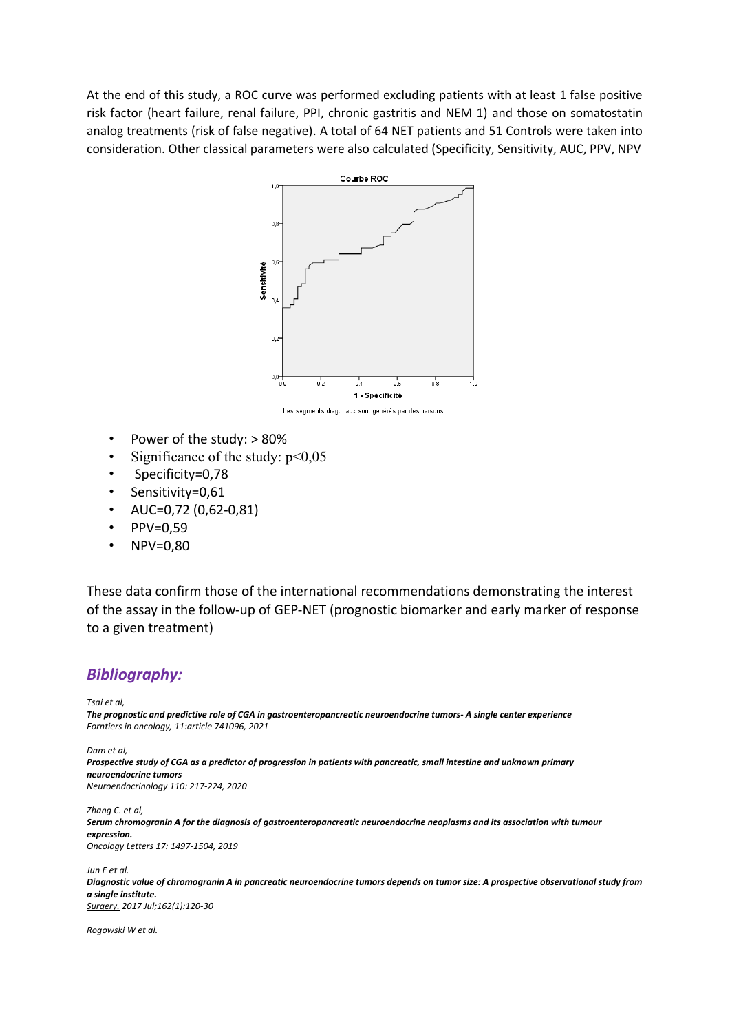At the end of this study, a ROC curve was performed excluding patients with at least 1 false positive risk factor (heart failure, renal failure, PPI, chronic gastritis and NEM 1) and those on somatostatin analog treatments (risk of false negative). A total of 64 NET patients and 51 Controls were taken into consideration. Other classical parameters were also calculated (Specificity, Sensitivity, AUC, PPV, NPV



Les segments diagonaux sont générés par des liaisons

- Power of the study: > 80%
- Significance of the study:  $p<0.05$
- Specificity=0,78
- Sensitivity=0,61
- AUC=0,72 (0,62-0,81)
- PPV=0,59
- NPV=0,80

These data confirm those of the international recommendations demonstrating the interest of the assay in the follow-up of GEP-NET (prognostic biomarker and early marker of response to a given treatment)

#### *Bibliography:*

*Tsai et al,* 

*The prognostic and predictive role of CGA in gastroenteropancreatic neuroendocrine tumors- A single center experience Forntiers in oncology, 11:article 741096, 2021*

*Dam et al,*

*Prospective study of CGA as a predictor of progression in patients with pancreatic, small intestine and unknown primary neuroendocrine tumors Neuroendocrinology 110: 217-224, 2020*

*Zhang C. et al,* 

*Serum chromogranin A for the diagnosis of gastroenteropancreatic neuroendocrine neoplasms and its association with tumour expression. Oncology Letters 17: 1497-1504, 2019*

*Jun E et al.*

*[Diagnostic value of chromogranin A in pancreatic neuroendocrine tumors depends on tumor size: A prospective observational study from](javascript:void())  [a single institute.](javascript:void()) [Surgery.](https://www.ncbi.nlm.nih.gov/pubmed/28262254) 2017 Jul;162(1):120-30*

*Rogowski W et al.*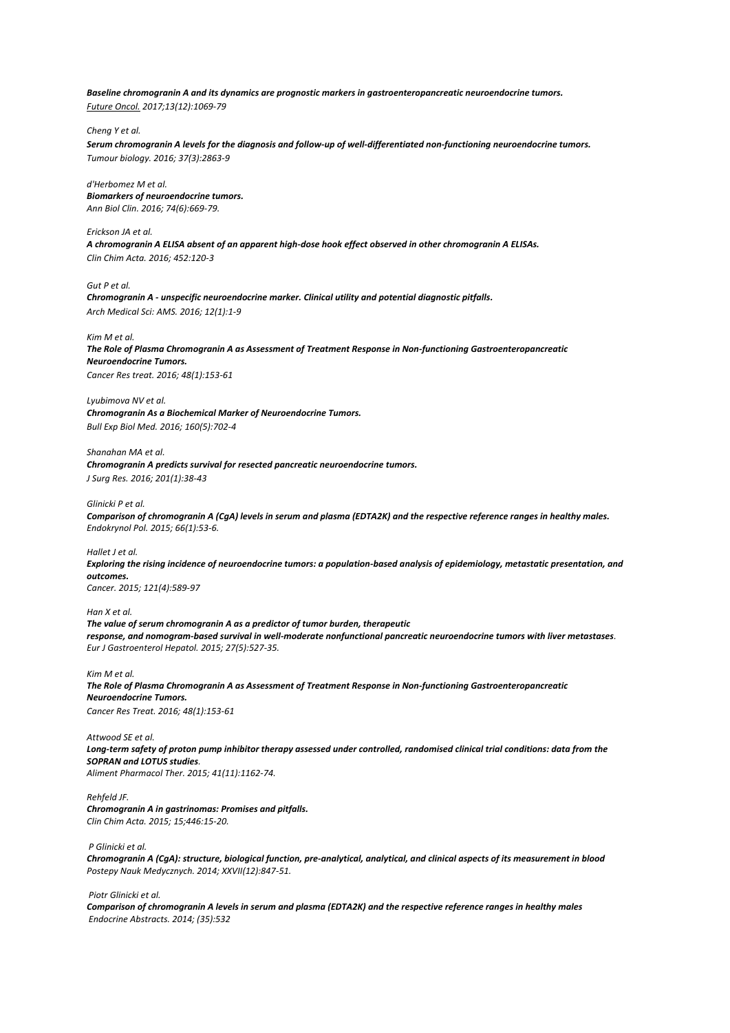*Baseline chromogranin A and its dynamics are prognostic markers in gastroenteropancreatic neuroendocrine tumors. [Future Oncol.](https://www.ncbi.nlm.nih.gov/pubmed/28095720) 2017;13(12):1069-79*

*Cheng Y et al.*

*Serum chromogranin A levels for the diagnosis and follow-up of well-differentiated non-functioning neuroendocrine tumors. Tumour biology. 2016; 37(3):2863-9*

*d'Herbomez M et al. Biomarkers of neuroendocrine tumors. Ann Biol Clin. 2016; 74(6):669-79.*

*Erickson JA et al. A chromogranin A ELISA absent of an apparent high-dose hook effect observed in other chromogranin A ELISAs. Clin Chim Acta. 2016; 452:120-3*

*Gut P et al.*

*Chromogranin A - unspecific neuroendocrine marker. Clinical utility and potential diagnostic pitfalls. Arch Medical Sci: AMS. 2016; 12(1):1-9*

*Kim M et al.*

*The Role of Plasma Chromogranin A as Assessment of Treatment Response in Non-functioning Gastroenteropancreatic Neuroendocrine Tumors. Cancer Res treat. 2016; 48(1):153-61*

*Lyubimova NV et al. Chromogranin As a Biochemical Marker of Neuroendocrine Tumors. Bull Exp Biol Med. 2016; 160(5):702-4*

*Shanahan MA et al.*

*Chromogranin A predicts survival for resected pancreatic neuroendocrine tumors. J Surg Res. 2016; 201(1):38-43*

*Glinicki P et al.*

*Comparison of chromogranin A (CgA) levels in serum and plasma (EDTA2K) and the respective reference ranges in healthy males. Endokrynol Pol. 2015; 66(1):53-6.*

*Hallet J et al.*

*Exploring the rising incidence of neuroendocrine tumors: a population-based analysis of epidemiology, metastatic presentation, and outcomes. Cancer. 2015; 121(4):589-97*

*Han X et al.*

*The value of serum chromogranin A as a predictor of tumor burden, therapeutic response, and nomogram-based survival in well-moderate nonfunctional pancreatic neuroendocrine tumors with liver metastases. Eur J Gastroenterol Hepatol. 2015; 27(5):527-35.* 

*Kim M et al.*

*The Role of Plasma Chromogranin A as Assessment of Treatment Response in Non-functioning Gastroenteropancreatic Neuroendocrine Tumors. Cancer Res Treat. 2016; 48(1):153-61*

*Attwood SE et al. Long-term safety of proton pump inhibitor therapy assessed under controlled, randomised clinical trial conditions: data from the SOPRAN and LOTUS studies. Aliment Pharmacol Ther. 2015; 41(11):1162-74.* 

*Rehfeld JF.*

*Chromogranin A in gastrinomas: Promises and pitfalls. Clin Chim Acta. 2015; 15;446:15-20.*

*P Glinicki et al.*

*Chromogranin A (CgA): structure, biological function, pre-analytical, analytical, and clinical aspects of its measurement in blood Postepy Nauk Medycznych. 2014; XXVII(12):847-51.*

*Piotr Glinicki et al.*

*Comparison of chromogranin A levels in serum and plasma (EDTA2K) and the respective reference ranges in healthy males Endocrine Abstracts. 2014; (35):532*